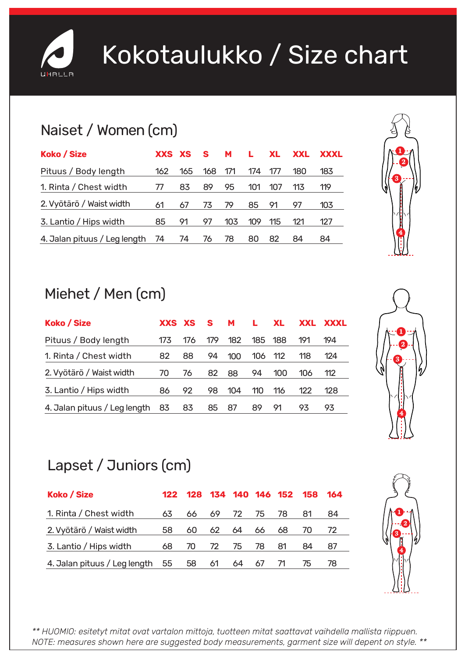

# Kokotaulukko / Size chart

#### Naiset / Women (cm)

| Koko / Size                  | XXS XS |     | -S  | M   | L.  | XL. | <b>XXL</b> | XXXL |
|------------------------------|--------|-----|-----|-----|-----|-----|------------|------|
| Pituus / Body length         | 162    | 165 | 168 | 171 | 174 | 177 | 180        | 183  |
| 1. Rinta / Chest width       | 77     | 83  | 89  | 95  | 101 | 107 | 113        | 119  |
| 2. Vyötärö / Waist width     | 61     | 67  | 73  | 79  | 85  | 91  | 97         | 103  |
| 3. Lantio / Hips width       | 85     | 91  | 97  | 103 | 109 | 115 | 121        | 127  |
| 4. Jalan pituus / Leg length | 74     | 74  | 76  | 78  | 80  | 82  | 84         | 84   |

#### Miehet / Men (cm)

| <b>Koko / Size</b>           |     | XXS XS S |     | M   | L.  | XL. | <b>XXL</b> | XXXL |
|------------------------------|-----|----------|-----|-----|-----|-----|------------|------|
| Pituus / Body length         | 173 | 176      | 179 | 182 | 185 | 188 | 191        | 194  |
| 1. Rinta / Chest width       | 82  | 88       | 94  | 100 | 106 | 112 | 118        | 124  |
| 2. Vyötärö / Waist width     | 70  | 76       | 82  | 88  | 94  | 100 | 106        | 112  |
| 3. Lantio / Hips width       | 86  | 92       | 98  | 104 | 110 | 116 | 122        | 128  |
| 4. Jalan pituus / Leg length | 83  | 83       | 85  | 87  | 89  | 91  | 93         | 93   |



**4**

**2 1**

**3**

## Lapset / Juniors (cm)

| Koko / Size                  |    |    |    |    |    | 122 128 134 140 146 152 | 158 | 164 |
|------------------------------|----|----|----|----|----|-------------------------|-----|-----|
| 1. Rinta / Chest width       | 63 | 66 | 69 | 72 | 75 | 78                      | 81  | 84  |
| 2. Vyötärö / Waist width     | 58 | 60 | 62 | 64 | 66 | 68                      | 70  | 72  |
| 3. Lantio / Hips width       | 68 | 70 | 72 | 75 | 78 | 81                      | 84  | 87  |
| 4. Jalan pituus / Leg length | 55 | 58 | 61 | 64 | 67 |                         | 75  | 78  |

*\*\* HUOMIO: esitetyt mitat ovat vartalon mittoja, tuotteen mitat saattavat vaihdella mallista riippuen. NOTE: measures shown here are suggested body measurements, garment size will depent on style. \*\**

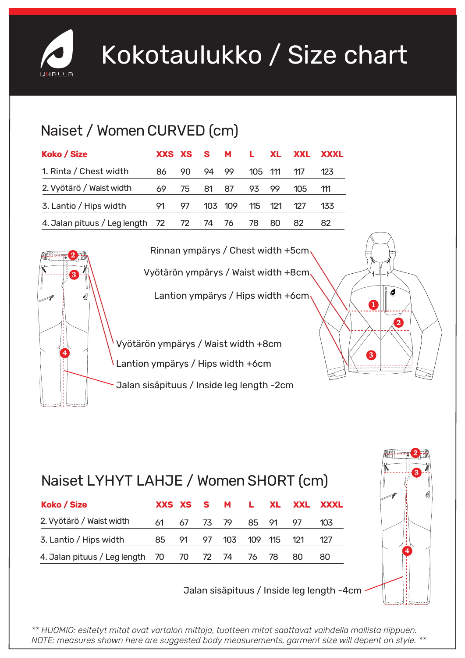

# Kokotaulukko / Size chart

### Naiset / Women CURVED (cm)

| Koko / Size                                 |       |     |         |    |       |         | XXS XS S M L XL XXL XXXL |     |
|---------------------------------------------|-------|-----|---------|----|-------|---------|--------------------------|-----|
| 1. Rinta / Chest width                      | 86.   | 90. | 94 99   |    |       | 105 111 | 117                      | 123 |
| 2. Vyötärö / Waist width                    | 69    | 75  | 81 -    | 87 | 93 99 |         | 105                      | 111 |
| 3. Lantio / Hips width                      | 91 97 |     | 103 109 |    |       | 115 121 | 127                      | 133 |
| 4. Jalan pituus / Leg length 72 72 74 76 78 |       |     |         |    |       | 80      | 82                       | 82  |



Rinnan ympärys / Chest width +5cm Vyötärön ympärys / Waist width +8cm Lantion ympärys / Hips width +6cm,

Jalan sisäpituus / Inside leg length -2cm Vyötärön ympärys / Waist width +8cm Lantion ympärys / Hips width +6cm

### Naiset LYHYT LAHJE / Women SHORT (cm)

| Koko / Size                                       |  |  |  |                          | XXS XS S M L XL XXL XXXL |
|---------------------------------------------------|--|--|--|--------------------------|--------------------------|
| 2. Vyötärö / Waist width                          |  |  |  | 61 67 73 79 85 91 97     | 103                      |
| 3. Lantio / Hips width                            |  |  |  | 85 91 97 103 109 115 121 | 127                      |
| 4. Jalan pituus / Leg length 70 70 72 74 76 78 80 |  |  |  |                          | -80                      |

Jalan sisäpituus / Inside leg length -4cm



**2**

**1**

**3**

*\*\* HUOMIO: esitetyt mitat ovat vartalon mittoja, tuotteen mitat saattavat vaihdella mallista riippuen. NOTE: measures shown here are suggested body measurements, garment size will depent on style. \*\**